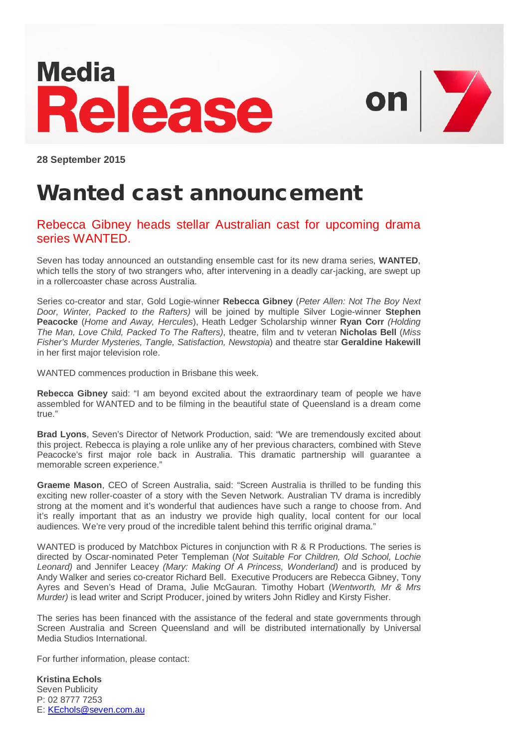# **Media** Release

**A** 

**28 September 2015**

# Wanted cast announcement

## Rebecca Gibney heads stellar Australian cast for upcoming drama series WANTED.

Seven has today announced an outstanding ensemble cast for its new drama series, **WANTED**, which tells the story of two strangers who, after intervening in a deadly car-jacking, are swept up in a rollercoaster chase across Australia.

Series co-creator and star, Gold Logie-winner **Rebecca Gibney** (*Peter Allen: Not The Boy Next Door, Winter, Packed to the Rafters)* will be joined by multiple Silver Logie-winner **Stephen Peacocke** (*Home and Away, Hercules*), Heath Ledger Scholarship winner **Ryan Corr** *(Holding The Man, Love Child, Packed To The Rafters)*, theatre, film and tv veteran **Nicholas Bell** (*Miss Fisher's Murder Mysteries, Tangle, Satisfaction, Newstopia*) and theatre star **Geraldine Hakewill** in her first major television role.

WANTED commences production in Brisbane this week.

**Rebecca Gibney** said: "I am beyond excited about the extraordinary team of people we have assembled for WANTED and to be filming in the beautiful state of Queensland is a dream come true."

**Brad Lyons**, Seven's Director of Network Production, said: "We are tremendously excited about this project. Rebecca is playing a role unlike any of her previous characters, combined with Steve Peacocke's first major role back in Australia. This dramatic partnership will guarantee a memorable screen experience."

**Graeme Mason**, CEO of Screen Australia, said: "Screen Australia is thrilled to be funding this exciting new roller-coaster of a story with the Seven Network. Australian TV drama is incredibly strong at the moment and it's wonderful that audiences have such a range to choose from. And it's really important that as an industry we provide high quality, local content for our local audiences. We're very proud of the incredible talent behind this terrific original drama."

WANTED is produced by Matchbox Pictures in conjunction with R & R Productions. The series is directed by Oscar-nominated Peter Templeman (*Not Suitable For Children, Old School, Lochie Leonard)* and Jennifer Leacey *(Mary: Making Of A Princess, Wonderland)* and is produced by Andy Walker and series co-creator Richard Bell. Executive Producers are Rebecca Gibney, Tony Ayres and Seven's Head of Drama, Julie McGauran. Timothy Hobart (*Wentworth, Mr & Mrs Murder)* is lead writer and Script Producer, joined by writers John Ridley and Kirsty Fisher.

The series has been financed with the assistance of the federal and state governments through Screen Australia and Screen Queensland and will be distributed internationally by Universal Media Studios International.

For further information, please contact:

**Kristina Echols** Seven Publicity P: 02 8777 7253 E[: KEchols@seven.com.au](mailto:KEchols@seven.com.au)